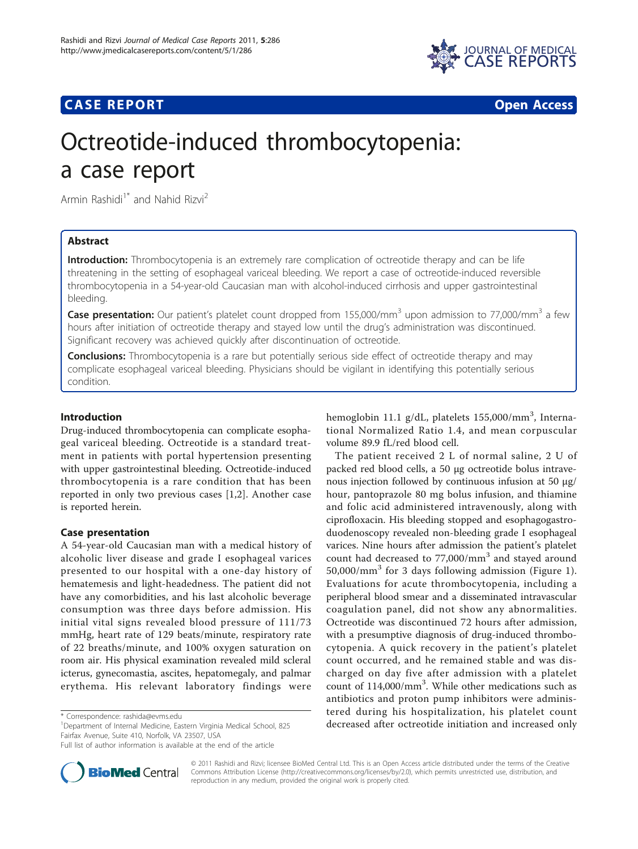

## **CASE REPORT CASE REPORT CASE REPORT**



# Octreotide-induced thrombocytopenia: a case report

Armin Rashidi<sup>1\*</sup> and Nahid Rizvi<sup>2</sup>

## Abstract

**Introduction:** Thrombocytopenia is an extremely rare complication of octreotide therapy and can be life threatening in the setting of esophageal variceal bleeding. We report a case of octreotide-induced reversible thrombocytopenia in a 54-year-old Caucasian man with alcohol-induced cirrhosis and upper gastrointestinal bleeding.

Case presentation: Our patient's platelet count dropped from 155,000/mm<sup>3</sup> upon admission to 77,000/mm<sup>3</sup> a few hours after initiation of octreotide therapy and stayed low until the drug's administration was discontinued. Significant recovery was achieved quickly after discontinuation of octreotide.

**Conclusions:** Thrombocytopenia is a rare but potentially serious side effect of octreotide therapy and may complicate esophageal variceal bleeding. Physicians should be vigilant in identifying this potentially serious condition.

## Introduction

Drug-induced thrombocytopenia can complicate esophageal variceal bleeding. Octreotide is a standard treatment in patients with portal hypertension presenting with upper gastrointestinal bleeding. Octreotide-induced thrombocytopenia is a rare condition that has been reported in only two previous cases [[1,2](#page-2-0)]. Another case is reported herein.

## Case presentation

A 54-year-old Caucasian man with a medical history of alcoholic liver disease and grade I esophageal varices presented to our hospital with a one-day history of hematemesis and light-headedness. The patient did not have any comorbidities, and his last alcoholic beverage consumption was three days before admission. His initial vital signs revealed blood pressure of 111/73 mmHg, heart rate of 129 beats/minute, respiratory rate of 22 breaths/minute, and 100% oxygen saturation on room air. His physical examination revealed mild scleral icterus, gynecomastia, ascites, hepatomegaly, and palmar erythema. His relevant laboratory findings were



The patient received 2 L of normal saline, 2 U of packed red blood cells, a 50 μg octreotide bolus intravenous injection followed by continuous infusion at 50 μg/ hour, pantoprazole 80 mg bolus infusion, and thiamine and folic acid administered intravenously, along with ciprofloxacin. His bleeding stopped and esophagogastroduodenoscopy revealed non-bleeding grade I esophageal varices. Nine hours after admission the patient's platelet count had decreased to  $77,000/mm^3$  and stayed around  $50,000/\text{mm}^3$  for 3 days following admission (Figure [1](#page-1-0)). Evaluations for acute thrombocytopenia, including a peripheral blood smear and a disseminated intravascular coagulation panel, did not show any abnormalities. Octreotide was discontinued 72 hours after admission, with a presumptive diagnosis of drug-induced thrombocytopenia. A quick recovery in the patient's platelet count occurred, and he remained stable and was discharged on day five after admission with a platelet count of 114,000/mm<sup>3</sup>. While other medications such as antibiotics and proton pump inhibitors were administered during his hospitalization, his platelet count tered during his hospitalization, his platelet count<br>decreased after octreotide initiation and increased only becaused after octreotide initiation and increased only



© 2011 Rashidi and Rizvi; licensee BioMed Central Ltd. This is an Open Access article distributed under the terms of the Creative Commons Attribution License [\(http://creativecommons.org/licenses/by/2.0](http://creativecommons.org/licenses/by/2.0)), which permits unrestricted use, distribution, and reproduction in any medium, provided the original work is properly cited.

<sup>&</sup>lt;sup>1</sup>Department of Internal Medicine, Eastern Virginia Medical School, 825 Fairfax Avenue, Suite 410, Norfolk, VA 23507, USA

Full list of author information is available at the end of the article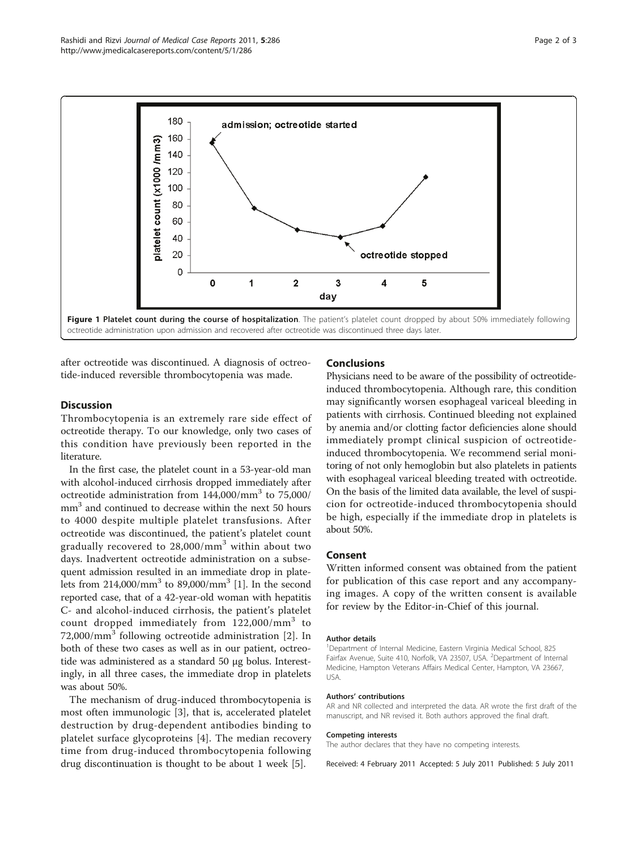<span id="page-1-0"></span>

after octreotide was discontinued. A diagnosis of octreotide-induced reversible thrombocytopenia was made.

### **Discussion**

Thrombocytopenia is an extremely rare side effect of octreotide therapy. To our knowledge, only two cases of this condition have previously been reported in the literature.

In the first case, the platelet count in a 53-year-old man with alcohol-induced cirrhosis dropped immediately after octreotide administration from  $144,000/\text{mm}^3$  to  $75,000/\text{mm}$ mm<sup>3</sup> and continued to decrease within the next 50 hours to 4000 despite multiple platelet transfusions. After octreotide was discontinued, the patient's platelet count gradually recovered to  $28,000/\text{mm}^3$  within about two days. Inadvertent octreotide administration on a subsequent admission resulted in an immediate drop in platelets from  $214,000/\text{mm}^3$  to  $89,000/\text{mm}^3$  [\[1](#page-2-0)]. In the second reported case, that of a 42-year-old woman with hepatitis C- and alcohol-induced cirrhosis, the patient's platelet count dropped immediately from  $122,000/\text{mm}^3$  to  $72,000/\text{mm}^3$  following octreotide administration [[2\]](#page-2-0). In both of these two cases as well as in our patient, octreotide was administered as a standard 50 μg bolus. Interestingly, in all three cases, the immediate drop in platelets was about 50%.

The mechanism of drug-induced thrombocytopenia is most often immunologic [[3\]](#page-2-0), that is, accelerated platelet destruction by drug-dependent antibodies binding to platelet surface glycoproteins [[4\]](#page-2-0). The median recovery time from drug-induced thrombocytopenia following drug discontinuation is thought to be about 1 week [\[5](#page-2-0)].

#### Conclusions

Physicians need to be aware of the possibility of octreotideinduced thrombocytopenia. Although rare, this condition may significantly worsen esophageal variceal bleeding in patients with cirrhosis. Continued bleeding not explained by anemia and/or clotting factor deficiencies alone should immediately prompt clinical suspicion of octreotideinduced thrombocytopenia. We recommend serial monitoring of not only hemoglobin but also platelets in patients with esophageal variceal bleeding treated with octreotide. On the basis of the limited data available, the level of suspicion for octreotide-induced thrombocytopenia should be high, especially if the immediate drop in platelets is about 50%.

## Consent

Written informed consent was obtained from the patient for publication of this case report and any accompanying images. A copy of the written consent is available for review by the Editor-in-Chief of this journal.

#### Author details

<sup>1</sup>Department of Internal Medicine, Eastern Virginia Medical School, 825 Fairfax Avenue, Suite 410, Norfolk, VA 23507, USA. <sup>2</sup>Department of Internal Medicine, Hampton Veterans Affairs Medical Center, Hampton, VA 23667, USA.

#### Authors' contributions

AR and NR collected and interpreted the data. AR wrote the first draft of the manuscript, and NR revised it. Both authors approved the final draft.

#### Competing interests

The author declares that they have no competing interests.

Received: 4 February 2011 Accepted: 5 July 2011 Published: 5 July 2011